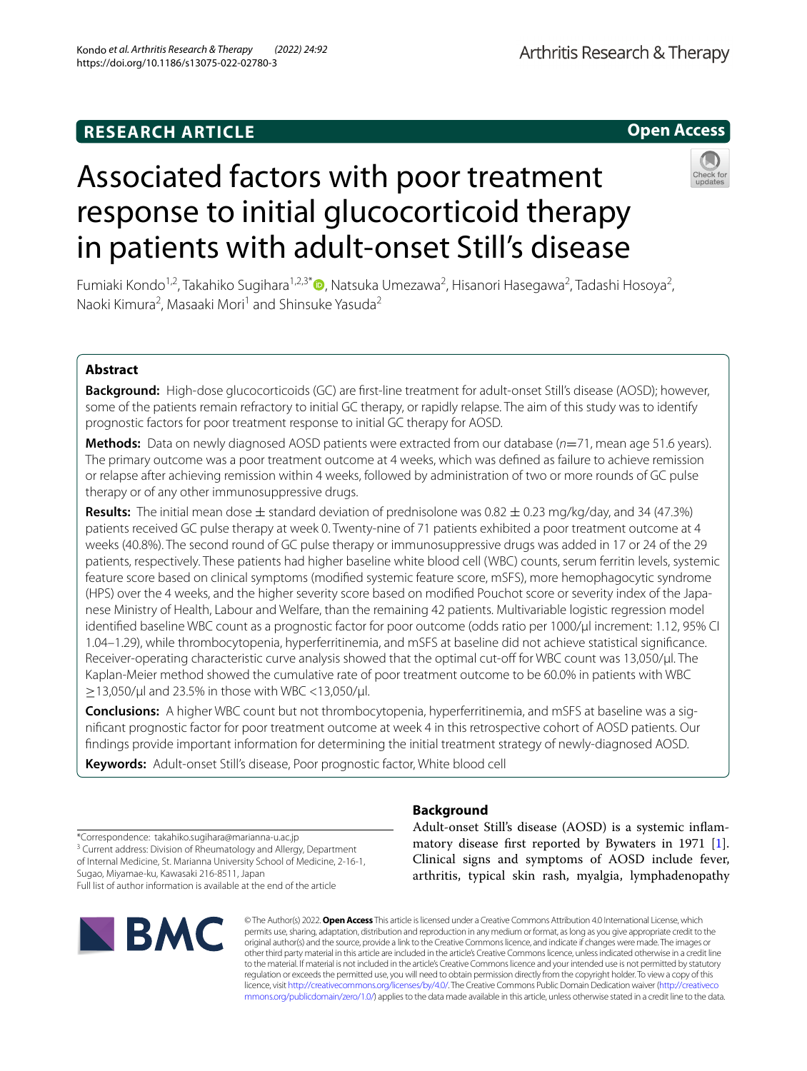# **RESEARCH ARTICLE**

**Open Access**

# Associated factors with poor treatment response to initial glucocorticoid therapy in patients with adult-onset Still's disease



Fumiaki Kondo<sup>1,2</sup>, Takahiko Sugihara<sup>1,2,3[\\*](http://orcid.org/0000-0002-7181-7494)</sup> (**D**, Natsuka Umezawa<sup>2</sup>, Hisanori Hasegawa<sup>2</sup>, Tadashi Hosoya<sup>2</sup>, Naoki Kimura<sup>2</sup>, Masaaki Mori<sup>1</sup> and Shinsuke Yasuda<sup>2</sup>

# **Abstract**

**Background:** High-dose glucocorticoids (GC) are frst-line treatment for adult-onset Still's disease (AOSD); however, some of the patients remain refractory to initial GC therapy, or rapidly relapse. The aim of this study was to identify prognostic factors for poor treatment response to initial GC therapy for AOSD.

**Methods:** Data on newly diagnosed AOSD patients were extracted from our database (*n*=71, mean age 51.6 years). The primary outcome was a poor treatment outcome at 4 weeks, which was defned as failure to achieve remission or relapse after achieving remission within 4 weeks, followed by administration of two or more rounds of GC pulse therapy or of any other immunosuppressive drugs.

**Results:** The initial mean dose  $\pm$  standard deviation of prednisolone was 0.82  $\pm$  0.23 mg/kg/day, and 34 (47.3%) patients received GC pulse therapy at week 0. Twenty-nine of 71 patients exhibited a poor treatment outcome at 4 weeks (40.8%). The second round of GC pulse therapy or immunosuppressive drugs was added in 17 or 24 of the 29 patients, respectively. These patients had higher baseline white blood cell (WBC) counts, serum ferritin levels, systemic feature score based on clinical symptoms (modifed systemic feature score, mSFS), more hemophagocytic syndrome (HPS) over the 4 weeks, and the higher severity score based on modifed Pouchot score or severity index of the Japanese Ministry of Health, Labour and Welfare, than the remaining 42 patients. Multivariable logistic regression model identified baseline WBC count as a prognostic factor for poor outcome (odds ratio per 1000/μl increment: 1.12, 95% CI 1.04–1.29), while thrombocytopenia, hyperferritinemia, and mSFS at baseline did not achieve statistical signifcance. Receiver-operating characteristic curve analysis showed that the optimal cut-off for WBC count was 13,050/µl. The Kaplan-Meier method showed the cumulative rate of poor treatment outcome to be 60.0% in patients with WBC  $\geq$ 13,050/μl and 23.5% in those with WBC <13,050/μl.

**Conclusions:** A higher WBC count but not thrombocytopenia, hyperferritinemia, and mSFS at baseline was a signifcant prognostic factor for poor treatment outcome at week 4 in this retrospective cohort of AOSD patients. Our fndings provide important information for determining the initial treatment strategy of newly-diagnosed AOSD.

**Keywords:** Adult-onset Still's disease, Poor prognostic factor, White blood cell

# **Background**

Adult-onset Still's disease (AOSD) is a systemic infammatory disease frst reported by Bywaters in 1971 [\[1](#page-8-0)]. Clinical signs and symptoms of AOSD include fever, arthritis, typical skin rash, myalgia, lymphadenopathy

\*Correspondence: takahiko.sugihara@marianna-u.ac.jp

<sup>3</sup> Current address: Division of Rheumatology and Allergy, Department of Internal Medicine, St. Marianna University School of Medicine, 2-16-1, Sugao, Miyamae-ku, Kawasaki 216-8511, Japan Full list of author information is available at the end of the article



© The Author(s) 2022. **Open Access** This article is licensed under a Creative Commons Attribution 4.0 International License, which permits use, sharing, adaptation, distribution and reproduction in any medium or format, as long as you give appropriate credit to the original author(s) and the source, provide a link to the Creative Commons licence, and indicate if changes were made. The images or other third party material in this article are included in the article's Creative Commons licence, unless indicated otherwise in a credit line to the material. If material is not included in the article's Creative Commons licence and your intended use is not permitted by statutory regulation or exceeds the permitted use, you will need to obtain permission directly from the copyright holder. To view a copy of this licence, visit [http://creativecommons.org/licenses/by/4.0/.](http://creativecommons.org/licenses/by/4.0/) The Creative Commons Public Domain Dedication waiver ([http://creativeco](http://creativecommons.org/publicdomain/zero/1.0/) [mmons.org/publicdomain/zero/1.0/](http://creativecommons.org/publicdomain/zero/1.0/)) applies to the data made available in this article, unless otherwise stated in a credit line to the data.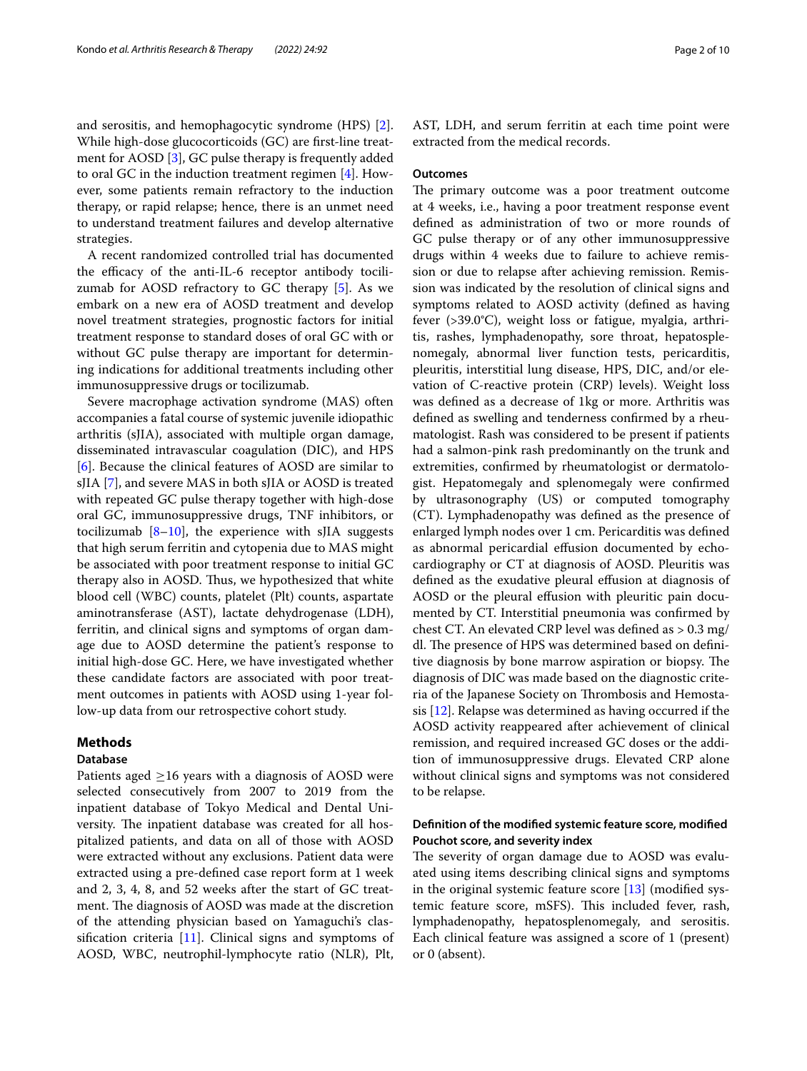and serositis, and hemophagocytic syndrome (HPS) [\[2](#page-8-1)]. While high-dose glucocorticoids (GC) are frst-line treatment for AOSD [[3](#page-8-2)], GC pulse therapy is frequently added to oral GC in the induction treatment regimen [\[4](#page-8-3)]. However, some patients remain refractory to the induction therapy, or rapid relapse; hence, there is an unmet need to understand treatment failures and develop alternative strategies.

A recent randomized controlled trial has documented the efficacy of the anti-IL-6 receptor antibody tocilizumab for AOSD refractory to GC therapy [[5](#page-8-4)]. As we embark on a new era of AOSD treatment and develop novel treatment strategies, prognostic factors for initial treatment response to standard doses of oral GC with or without GC pulse therapy are important for determining indications for additional treatments including other immunosuppressive drugs or tocilizumab.

Severe macrophage activation syndrome (MAS) often accompanies a fatal course of systemic juvenile idiopathic arthritis (sJIA), associated with multiple organ damage, disseminated intravascular coagulation (DIC), and HPS [[6\]](#page-8-5). Because the clinical features of AOSD are similar to sJIA [[7](#page-8-6)], and severe MAS in both sJIA or AOSD is treated with repeated GC pulse therapy together with high-dose oral GC, immunosuppressive drugs, TNF inhibitors, or tocilizumab  $[8-10]$  $[8-10]$  $[8-10]$ , the experience with sJIA suggests that high serum ferritin and cytopenia due to MAS might be associated with poor treatment response to initial GC therapy also in AOSD. Thus, we hypothesized that white blood cell (WBC) counts, platelet (Plt) counts, aspartate aminotransferase (AST), lactate dehydrogenase (LDH), ferritin, and clinical signs and symptoms of organ damage due to AOSD determine the patient's response to initial high-dose GC. Here, we have investigated whether these candidate factors are associated with poor treatment outcomes in patients with AOSD using 1-year follow-up data from our retrospective cohort study.

# **Methods**

## **Database**

Patients aged  $\geq$ 16 years with a diagnosis of AOSD were selected consecutively from 2007 to 2019 from the inpatient database of Tokyo Medical and Dental University. The inpatient database was created for all hospitalized patients, and data on all of those with AOSD were extracted without any exclusions. Patient data were extracted using a pre-defned case report form at 1 week and 2, 3, 4, 8, and 52 weeks after the start of GC treatment. The diagnosis of AOSD was made at the discretion of the attending physician based on Yamaguchi's classifcation criteria [[11](#page-8-9)]. Clinical signs and symptoms of AOSD, WBC, neutrophil-lymphocyte ratio (NLR), Plt, AST, LDH, and serum ferritin at each time point were extracted from the medical records.

## **Outcomes**

The primary outcome was a poor treatment outcome at 4 weeks, i.e., having a poor treatment response event defned as administration of two or more rounds of GC pulse therapy or of any other immunosuppressive drugs within 4 weeks due to failure to achieve remission or due to relapse after achieving remission. Remission was indicated by the resolution of clinical signs and symptoms related to AOSD activity (defned as having fever (>39.0°C), weight loss or fatigue, myalgia, arthritis, rashes, lymphadenopathy, sore throat, hepatosplenomegaly, abnormal liver function tests, pericarditis, pleuritis, interstitial lung disease, HPS, DIC, and/or elevation of C-reactive protein (CRP) levels). Weight loss was defned as a decrease of 1kg or more. Arthritis was defned as swelling and tenderness confrmed by a rheumatologist. Rash was considered to be present if patients had a salmon-pink rash predominantly on the trunk and extremities, confrmed by rheumatologist or dermatologist. Hepatomegaly and splenomegaly were confrmed by ultrasonography (US) or computed tomography (CT). Lymphadenopathy was defned as the presence of enlarged lymph nodes over 1 cm. Pericarditis was defned as abnormal pericardial effusion documented by echocardiography or CT at diagnosis of AOSD. Pleuritis was defned as the exudative pleural efusion at diagnosis of AOSD or the pleural effusion with pleuritic pain documented by CT. Interstitial pneumonia was confrmed by chest CT. An elevated CRP level was defned as > 0.3 mg/ dl. The presence of HPS was determined based on definitive diagnosis by bone marrow aspiration or biopsy. The diagnosis of DIC was made based on the diagnostic criteria of the Japanese Society on Thrombosis and Hemostasis [\[12](#page-8-10)]. Relapse was determined as having occurred if the AOSD activity reappeared after achievement of clinical remission, and required increased GC doses or the addition of immunosuppressive drugs. Elevated CRP alone without clinical signs and symptoms was not considered to be relapse.

# **Defnition of the modifed systemic feature score, modifed Pouchot score, and severity index**

The severity of organ damage due to AOSD was evaluated using items describing clinical signs and symptoms in the original systemic feature score [[13\]](#page-8-11) (modifed systemic feature score, mSFS). This included fever, rash, lymphadenopathy, hepatosplenomegaly, and serositis. Each clinical feature was assigned a score of 1 (present) or 0 (absent).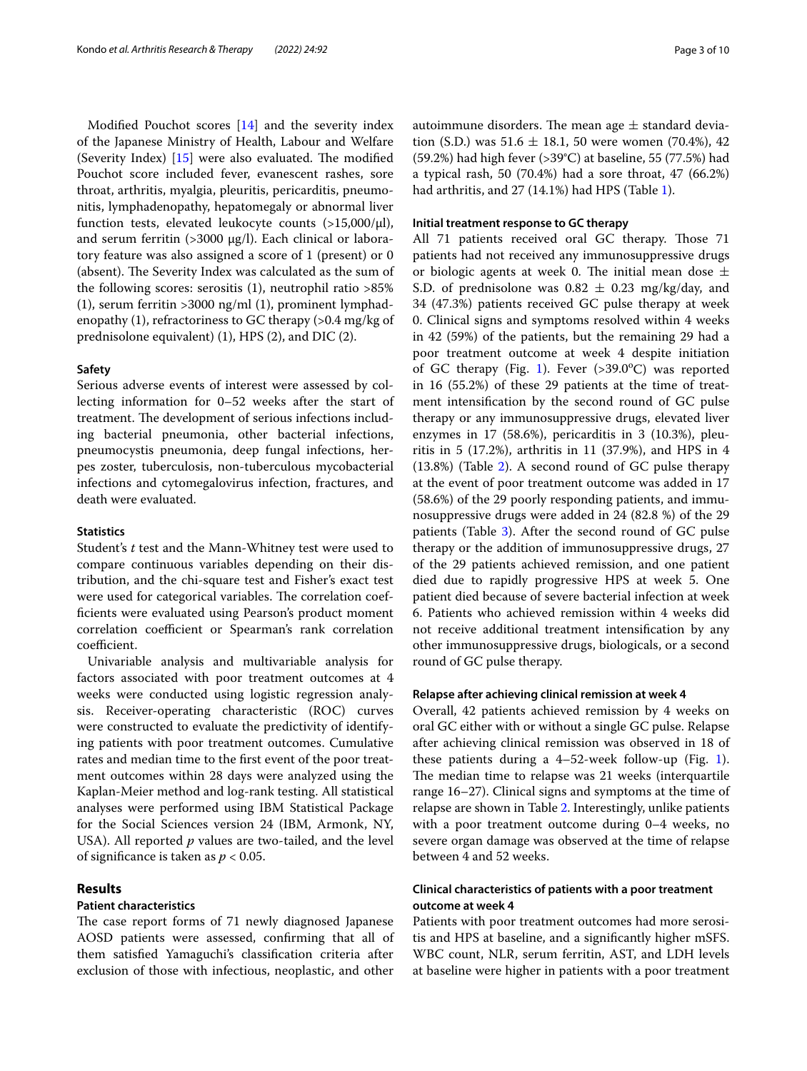Modifed Pouchot scores [[14\]](#page-8-12) and the severity index of the Japanese Ministry of Health, Labour and Welfare (Severity Index)  $[15]$  $[15]$  were also evaluated. The modified Pouchot score included fever, evanescent rashes, sore throat, arthritis, myalgia, pleuritis, pericarditis, pneumonitis, lymphadenopathy, hepatomegaly or abnormal liver function tests, elevated leukocyte counts  $(>15,000/\mu l)$ , and serum ferritin (>3000 μg/l). Each clinical or laboratory feature was also assigned a score of 1 (present) or 0 (absent). The Severity Index was calculated as the sum of the following scores: serositis (1), neutrophil ratio >85% (1), serum ferritin >3000 ng/ml (1), prominent lymphadenopathy (1), refractoriness to GC therapy (>0.4 mg/kg of prednisolone equivalent) (1), HPS (2), and DIC (2).

#### **Safety**

Serious adverse events of interest were assessed by collecting information for 0–52 weeks after the start of treatment. The development of serious infections including bacterial pneumonia, other bacterial infections, pneumocystis pneumonia, deep fungal infections, herpes zoster, tuberculosis, non-tuberculous mycobacterial infections and cytomegalovirus infection, fractures, and death were evaluated.

## **Statistics**

Student's *t* test and the Mann-Whitney test were used to compare continuous variables depending on their distribution, and the chi-square test and Fisher's exact test were used for categorical variables. The correlation coeffcients were evaluated using Pearson's product moment correlation coefficient or Spearman's rank correlation coefficient.

Univariable analysis and multivariable analysis for factors associated with poor treatment outcomes at 4 weeks were conducted using logistic regression analysis. Receiver-operating characteristic (ROC) curves were constructed to evaluate the predictivity of identifying patients with poor treatment outcomes. Cumulative rates and median time to the frst event of the poor treatment outcomes within 28 days were analyzed using the Kaplan-Meier method and log-rank testing. All statistical analyses were performed using IBM Statistical Package for the Social Sciences version 24 (IBM, Armonk, NY, USA). All reported *p* values are two-tailed, and the level of signifcance is taken as *p* < 0.05.

# **Results**

# **Patient characteristics**

The case report forms of 71 newly diagnosed Japanese AOSD patients were assessed, confrming that all of them satisfed Yamaguchi's classifcation criteria after exclusion of those with infectious, neoplastic, and other autoimmune disorders. The mean age  $\pm$  standard deviation (S.D.) was  $51.6 \pm 18.1$ , 50 were women (70.4%), 42 (59.2%) had high fever (>39°C) at baseline, 55 (77.5%) had a typical rash, 50 (70.4%) had a sore throat, 47 (66.2%) had arthritis, and 27 (14.1%) had HPS (Table [1](#page-3-0)).

# **Initial treatment response to GC therapy**

All 71 patients received oral GC therapy. Those 71 patients had not received any immunosuppressive drugs or biologic agents at week 0. The initial mean dose  $\pm$ S.D. of prednisolone was  $0.82 \pm 0.23$  mg/kg/day, and 34 (47.3%) patients received GC pulse therapy at week 0. Clinical signs and symptoms resolved within 4 weeks in 42 (59%) of the patients, but the remaining 29 had a poor treatment outcome at week 4 despite initiation of GC therapy (Fig. [1\)](#page-4-0). Fever (>39.0°C) was reported in 16 (55.2%) of these 29 patients at the time of treatment intensifcation by the second round of GC pulse therapy or any immunosuppressive drugs, elevated liver enzymes in 17 (58.6%), pericarditis in 3 (10.3%), pleuritis in 5 (17.2%), arthritis in 11 (37.9%), and HPS in 4  $(13.8\%)$  (Table [2\)](#page-4-1). A second round of GC pulse therapy at the event of poor treatment outcome was added in 17 (58.6%) of the 29 poorly responding patients, and immunosuppressive drugs were added in 24 (82.8 %) of the 29 patients (Table [3](#page-5-0)). After the second round of GC pulse therapy or the addition of immunosuppressive drugs, 27 of the 29 patients achieved remission, and one patient died due to rapidly progressive HPS at week 5. One patient died because of severe bacterial infection at week 6. Patients who achieved remission within 4 weeks did not receive additional treatment intensifcation by any other immunosuppressive drugs, biologicals, or a second round of GC pulse therapy.

#### **Relapse after achieving clinical remission at week 4**

Overall, 42 patients achieved remission by 4 weeks on oral GC either with or without a single GC pulse. Relapse after achieving clinical remission was observed in 18 of these patients during a  $4-52$ -week follow-up (Fig. [1](#page-4-0)). The median time to relapse was 21 weeks (interquartile range 16–27). Clinical signs and symptoms at the time of relapse are shown in Table [2.](#page-4-1) Interestingly, unlike patients with a poor treatment outcome during 0–4 weeks, no severe organ damage was observed at the time of relapse between 4 and 52 weeks.

# **Clinical characteristics of patients with a poor treatment outcome at week 4**

Patients with poor treatment outcomes had more serositis and HPS at baseline, and a signifcantly higher mSFS. WBC count, NLR, serum ferritin, AST, and LDH levels at baseline were higher in patients with a poor treatment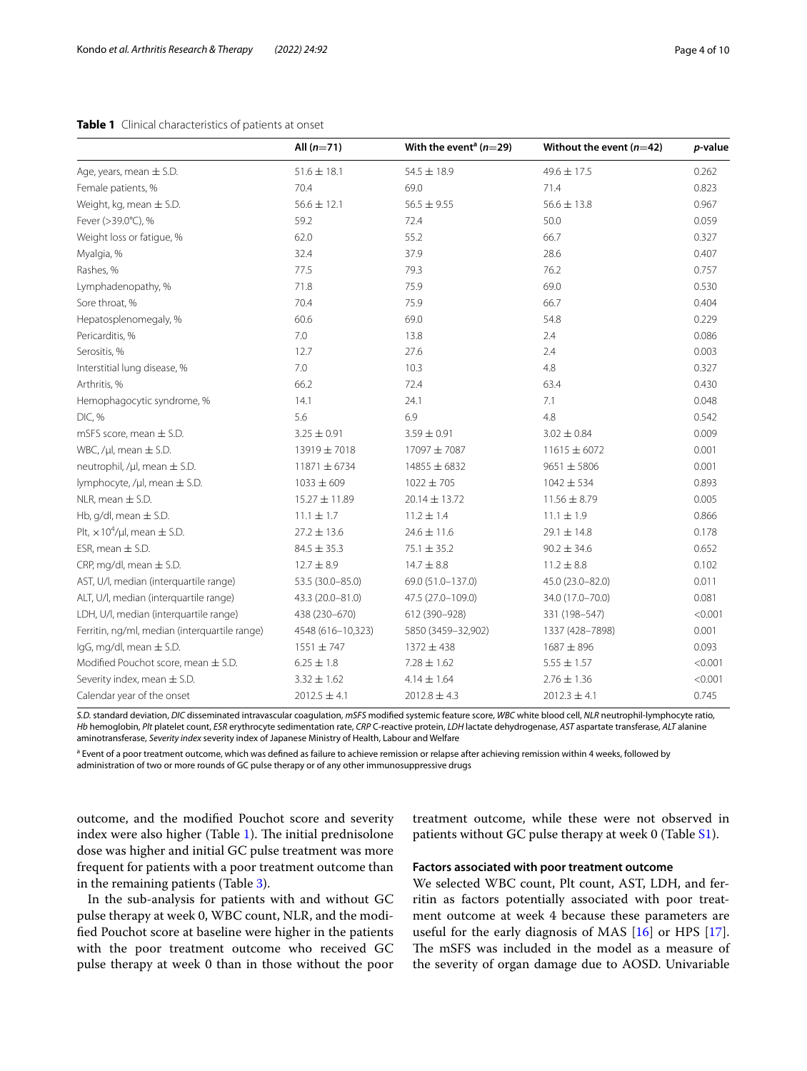# <span id="page-3-0"></span>**Table 1** Clinical characteristics of patients at onset

|                                                    | All $(n=71)$      | With the event <sup>a</sup> ( $n=29$ ) | Without the event $(n=42)$ | p-value |
|----------------------------------------------------|-------------------|----------------------------------------|----------------------------|---------|
| Age, years, mean $\pm$ S.D.                        | $51.6 \pm 18.1$   | $54.5 \pm 18.9$                        | 49.6 ± 17.5                | 0.262   |
| Female patients, %                                 | 70.4              | 69.0                                   | 71.4                       | 0.823   |
| Weight, kg, mean $\pm$ S.D.                        | $56.6 \pm 12.1$   | $56.5 \pm 9.55$                        | $56.6 \pm 13.8$            | 0.967   |
| Fever (>39.0°C), %                                 | 59.2              | 72.4                                   | 50.0                       | 0.059   |
| Weight loss or fatigue, %                          | 62.0              | 55.2                                   | 66.7                       | 0.327   |
| Myalgia, %                                         | 32.4              | 37.9                                   | 28.6                       | 0.407   |
| Rashes, %                                          | 77.5              | 79.3                                   | 76.2                       | 0.757   |
| Lymphadenopathy, %                                 | 71.8              | 75.9                                   | 69.0                       | 0.530   |
| Sore throat, %                                     | 70.4              | 75.9                                   | 66.7                       | 0.404   |
| Hepatosplenomegaly, %                              | 60.6              | 69.0                                   | 54.8                       | 0.229   |
| Pericarditis, %                                    | $7.0\,$           | 13.8                                   | 2.4                        | 0.086   |
| Serositis, %                                       | 12.7              | 27.6                                   | 2.4                        | 0.003   |
| Interstitial lung disease, %                       | 7.0               | 10.3                                   | 4.8                        | 0.327   |
| Arthritis, %                                       | 66.2              | 72.4                                   | 63.4                       | 0.430   |
| Hemophagocytic syndrome, %                         | 14.1              | 24.1                                   | 7.1                        | 0.048   |
| DIC, %                                             | 5.6               | 6.9                                    | 4.8                        | 0.542   |
| mSFS score, mean $\pm$ S.D.                        | $3.25 \pm 0.91$   | $3.59 \pm 0.91$                        | $3.02 \pm 0.84$            | 0.009   |
| WBC, / $\mu$ l, mean $\pm$ S.D.                    | 13919 ± 7018      | 17097 ± 7087                           | $11615 \pm 6072$           | 0.001   |
| neutrophil, / $\mu$ l, mean $\pm$ S.D.             | 11871 ± 6734      | 14855 ± 6832                           | $9651 \pm 5806$            | 0.001   |
| lymphocyte, / $\mu$ l, mean $\pm$ S.D.             | $1033 \pm 609$    | $1022 \pm 705$                         | $1042 \pm 534$             | 0.893   |
| NLR, mean $\pm$ S.D.                               | 15.27 ± 11.89     | $20.14 \pm 13.72$                      | $11.56 \pm 8.79$           | 0.005   |
| Hb, $q/dl$ , mean $\pm$ S.D.                       | $11.1 \pm 1.7$    | $11.2 \pm 1.4$                         | $11.1 \pm 1.9$             | 0.866   |
| Plt, $\times$ 10 <sup>4</sup> /µl, mean $\pm$ S.D. | $27.2 \pm 13.6$   | $24.6 \pm 11.6$                        | $29.1 \pm 14.8$            | 0.178   |
| ESR, mean $\pm$ S.D.                               | $84.5 \pm 35.3$   | $75.1 \pm 35.2$                        | $90.2 \pm 34.6$            | 0.652   |
| CRP, mg/dl, mean $\pm$ S.D.                        | $12.7 \pm 8.9$    | $14.7 \pm 8.8$                         | $11.2 \pm 8.8$             | 0.102   |
| AST, U/l, median (interquartile range)             | 53.5 (30.0-85.0)  | 69.0 (51.0-137.0)                      | 45.0 (23.0-82.0)           | 0.011   |
| ALT, U/I, median (interquartile range)             | 43.3 (20.0-81.0)  | 47.5 (27.0-109.0)                      | 34.0 (17.0-70.0)           | 0.081   |
| LDH, U/l, median (interquartile range)             | 438 (230-670)     | 612 (390-928)                          | 331 (198-547)              | < 0.001 |
| Ferritin, ng/ml, median (interquartile range)      | 4548 (616-10,323) | 5850 (3459-32,902)                     | 1337 (428-7898)            | 0.001   |
| $lgG$ , mg/dl, mean $\pm$ S.D.                     | $1551 \pm 747$    | $1372 \pm 438$                         | $1687 + 896$               | 0.093   |
| Modified Pouchot score, mean $\pm$ S.D.            | $6.25 \pm 1.8$    | $7.28 \pm 1.62$                        | $5.55 \pm 1.57$            | < 0.001 |
| Severity index, mean $\pm$ S.D.                    | $3.32 \pm 1.62$   | $4.14 \pm 1.64$                        | $2.76 \pm 1.36$            | < 0.001 |
| Calendar year of the onset                         | $2012.5 \pm 4.1$  | $2012.8 \pm 4.3$                       | $2012.3 \pm 4.1$           | 0.745   |

*S.D.* standard deviation, *DIC* disseminated intravascular coagulation, *mSFS* modifed systemic feature score, *WBC* white blood cell, *NLR* neutrophil-lymphocyte ratio, *Hb* hemoglobin, *Plt* platelet count, *ESR* erythrocyte sedimentation rate, *CRP* C-reactive protein, *LDH* lactate dehydrogenase, *AST* aspartate transferase, *ALT* alanine aminotransferase, *Severity index* severity index of Japanese Ministry of Health, Labour and Welfare

<sup>a</sup> Event of a poor treatment outcome, which was defined as failure to achieve remission or relapse after achieving remission within 4 weeks, followed by administration of two or more rounds of GC pulse therapy or of any other immunosuppressive drugs

outcome, and the modifed Pouchot score and severity index were also higher (Table [1\)](#page-3-0). The initial prednisolone dose was higher and initial GC pulse treatment was more frequent for patients with a poor treatment outcome than in the remaining patients (Table [3](#page-5-0)).

In the sub-analysis for patients with and without GC pulse therapy at week 0, WBC count, NLR, and the modifed Pouchot score at baseline were higher in the patients with the poor treatment outcome who received GC pulse therapy at week 0 than in those without the poor treatment outcome, while these were not observed in patients without GC pulse therapy at week 0 (Table [S1\)](#page-8-13).

#### **Factors associated with poor treatment outcome**

We selected WBC count, Plt count, AST, LDH, and ferritin as factors potentially associated with poor treatment outcome at week 4 because these parameters are useful for the early diagnosis of MAS [\[16](#page-9-1)] or HPS [\[17](#page-9-2)]. The mSFS was included in the model as a measure of the severity of organ damage due to AOSD. Univariable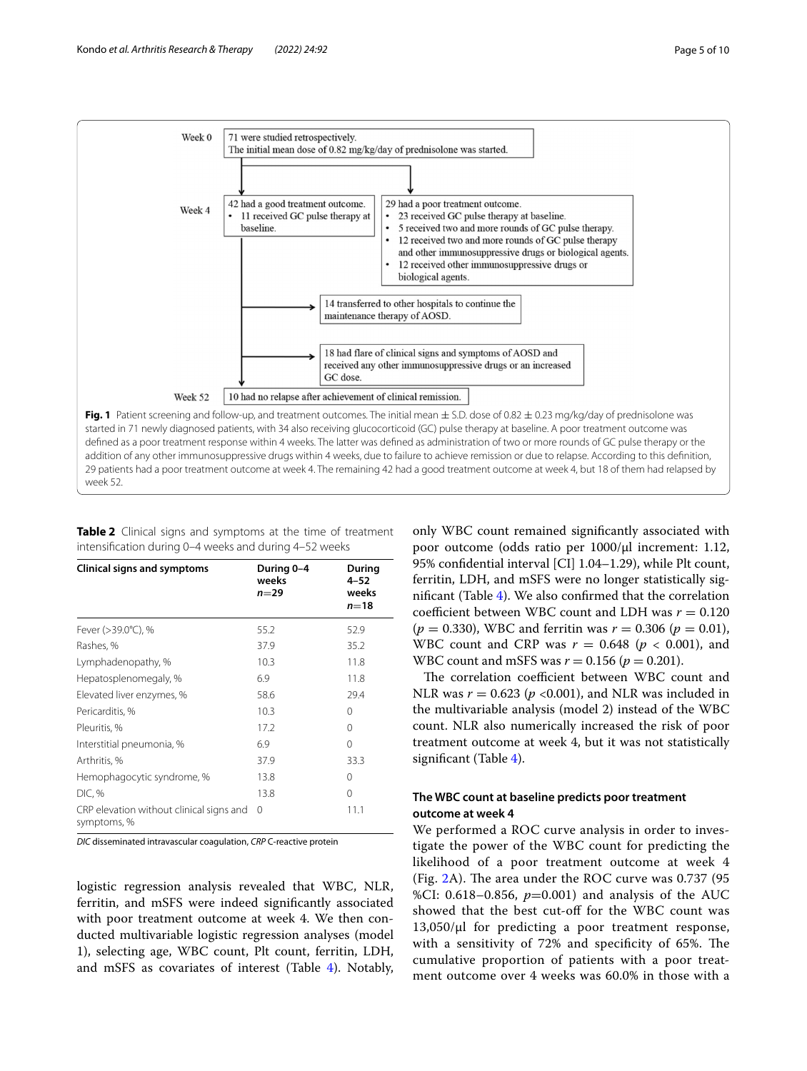

<span id="page-4-0"></span>started in 71 newly diagnosed patients, with 34 also receiving glucocorticoid (GC) pulse therapy at baseline. A poor treatment outcome was defned as a poor treatment response within 4 weeks. The latter was defned as administration of two or more rounds of GC pulse therapy or the addition of any other immunosuppressive drugs within 4 weeks, due to failure to achieve remission or due to relapse. According to this defnition, 29 patients had a poor treatment outcome at week 4. The remaining 42 had a good treatment outcome at week 4, but 18 of them had relapsed by week 52.

<span id="page-4-1"></span>**Table 2** Clinical signs and symptoms at the time of treatment intensifcation during 0–4 weeks and during 4–52 weeks

| <b>Clinical signs and symptoms</b>                      | During 0-4<br>weeks<br>n=29 | During<br>4–52<br>weeks<br>$n=18$ |
|---------------------------------------------------------|-----------------------------|-----------------------------------|
| Fever (>39.0°C), %                                      | 55.2                        | 52.9                              |
| Rashes, %                                               | 37.9                        | 35.2                              |
| Lymphadenopathy, %                                      | 10.3                        | 11.8                              |
| Hepatosplenomegaly, %                                   | 6.9                         | 11.8                              |
| Elevated liver enzymes, %                               | 58.6                        | 29.4                              |
| Pericarditis, %                                         | 10.3                        | $\Omega$                          |
| Pleuritis, %                                            | 17.2                        | 0                                 |
| Interstitial pneumonia, %                               | 6.9                         | $\Omega$                          |
| Arthritis, %                                            | 37.9                        | 33.3                              |
| Hemophagocytic syndrome, %                              | 13.8                        | $\Omega$                          |
| DIC, %                                                  | 13.8                        | $\Omega$                          |
| CRP elevation without clinical signs and<br>symptoms, % | $\Omega$                    | 11.1                              |

*DIC* disseminated intravascular coagulation, *CRP* C-reactive protein

logistic regression analysis revealed that WBC, NLR, ferritin, and mSFS were indeed signifcantly associated with poor treatment outcome at week 4. We then conducted multivariable logistic regression analyses (model 1), selecting age, WBC count, Plt count, ferritin, LDH, and mSFS as covariates of interest (Table [4](#page-5-1)). Notably,

only WBC count remained signifcantly associated with poor outcome (odds ratio per 1000/μl increment: 1.12, 95% confdential interval [CI] 1.04–1.29), while Plt count, ferritin, LDH, and mSFS were no longer statistically signifcant (Table [4](#page-5-1)). We also confrmed that the correlation coefficient between WBC count and LDH was  $r = 0.120$  $(p = 0.330)$ , WBC and ferritin was  $r = 0.306$   $(p = 0.01)$ , WBC count and CRP was  $r = 0.648$  ( $p < 0.001$ ), and WBC count and mSFS was  $r = 0.156$  ( $p = 0.201$ ).

The correlation coefficient between WBC count and NLR was  $r = 0.623$  ( $p < 0.001$ ), and NLR was included in the multivariable analysis (model 2) instead of the WBC count. NLR also numerically increased the risk of poor treatment outcome at week 4, but it was not statistically signifcant (Table [4](#page-5-1)).

# **The WBC count at baseline predicts poor treatment outcome at week 4**

We performed a ROC curve analysis in order to investigate the power of the WBC count for predicting the likelihood of a poor treatment outcome at week 4 (Fig. [2](#page-6-0)A). The area under the ROC curve was 0.737 (95 %CI: 0.618–0.856, *p*=0.001) and analysis of the AUC showed that the best cut-off for the WBC count was  $13,050/\mu$  for predicting a poor treatment response, with a sensitivity of 72% and specificity of 65%. The cumulative proportion of patients with a poor treatment outcome over 4 weeks was 60.0% in those with a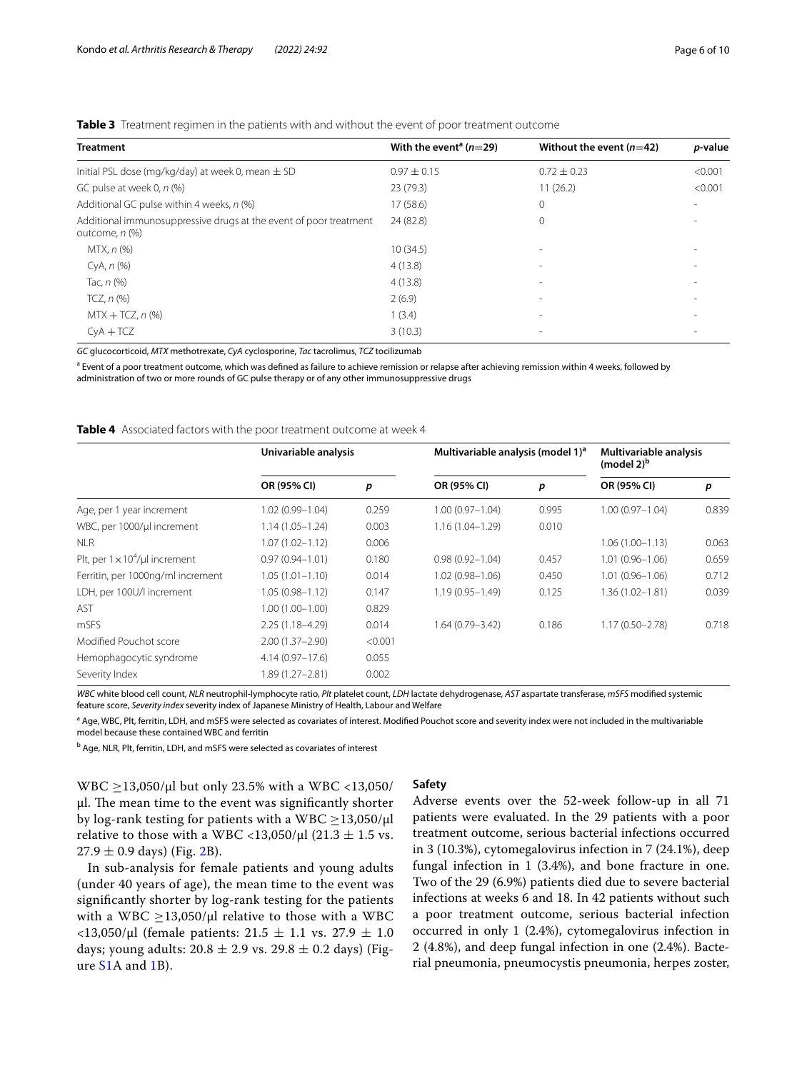# <span id="page-5-0"></span>**Table 3** Treatment regimen in the patients with and without the event of poor treatment outcome

| <b>Treatment</b>                                                                    | With the event <sup>a</sup> ( $n=29$ ) | Without the event $(n=42)$ | <i>p</i> -value |
|-------------------------------------------------------------------------------------|----------------------------------------|----------------------------|-----------------|
| Initial PSL dose (mg/kg/day) at week 0, mean $\pm$ SD                               | $0.97 \pm 0.15$                        | $0.72 \pm 0.23$            | < 0.001         |
| GC pulse at week 0, n (%)                                                           | 23 (79.3)                              | 11(26.2)                   | < 0.001         |
| Additional GC pulse within 4 weeks, n (%)                                           | 17 (58.6)                              | $\mathbf{0}$               |                 |
| Additional immunosuppressive drugs at the event of poor treatment<br>outcome, n (%) | 24 (82.8)                              | $\Omega$                   |                 |
| MTX, n (%)                                                                          | 10(34.5)                               | $\sim$                     |                 |
| CyA, n (%)                                                                          | 4(13.8)                                | $\sim$                     |                 |
| Tac, $n$ (%)                                                                        | 4(13.8)                                | $\sim$                     |                 |
| TCZ, $n$ $(\%)$                                                                     | 2(6.9)                                 | $\sim$                     |                 |
| $MTX + TCZ, n$ (%)                                                                  | 1(3.4)                                 | $\overline{\phantom{a}}$   |                 |
| $CVA + TCZ$                                                                         | 3(10.3)                                |                            |                 |

*GC* glucocorticoid, *MTX* methotrexate, *CyA* cyclosporine, *Tac* tacrolimus, *TCZ* tocilizumab

<sup>a</sup> Event of a poor treatment outcome, which was defined as failure to achieve remission or relapse after achieving remission within 4 weeks, followed by administration of two or more rounds of GC pulse therapy or of any other immunosuppressive drugs

#### <span id="page-5-1"></span>**Table 4** Associated factors with the poor treatment outcome at week 4

|                                        | Univariable analysis |         | Multivariable analysis (model 1) <sup>a</sup> |       | Multivariable analysis<br>(model $2)^b$ |       |
|----------------------------------------|----------------------|---------|-----------------------------------------------|-------|-----------------------------------------|-------|
|                                        | OR (95% CI)          | р       | OR (95% CI)                                   | p     | OR (95% CI)                             | p     |
| Age, per 1 year increment              | 1.02 (0.99-1.04)     | 0.259   | $1.00(0.97 - 1.04)$                           | 0.995 | $1.00(0.97 - 1.04)$                     | 0.839 |
| WBC, per 1000/ul increment             | $1.14(1.05 - 1.24)$  | 0.003   | $1.16(1.04 - 1.29)$                           | 0.010 |                                         |       |
| <b>NLR</b>                             | $1.07(1.02 - 1.12)$  | 0.006   |                                               |       | $1.06(1.00 - 1.13)$                     | 0.063 |
| Plt, per $1 \times 10^4$ /µl increment | $0.97(0.94 - 1.01)$  | 0.180   | $0.98(0.92 - 1.04)$                           | 0.457 | $1.01(0.96 - 1.06)$                     | 0.659 |
| Ferritin, per 1000ng/ml increment      | $1.05(1.01 - 1.10)$  | 0.014   | $1.02(0.98 - 1.06)$                           | 0.450 | $1.01(0.96 - 1.06)$                     | 0.712 |
| LDH, per 100U/l increment              | $1.05(0.98 - 1.12)$  | 0.147   | $1.19(0.95 - 1.49)$                           | 0.125 | $1.36(1.02 - 1.81)$                     | 0.039 |
| <b>AST</b>                             | $1.00(1.00 - 1.00)$  | 0.829   |                                               |       |                                         |       |
| mSFS                                   | $2.25(1.18 - 4.29)$  | 0.014   | $1.64(0.79 - 3.42)$                           | 0.186 | $1.17(0.50 - 2.78)$                     | 0.718 |
| Modified Pouchot score                 | $2.00(1.37 - 2.90)$  | < 0.001 |                                               |       |                                         |       |
| Hemophagocytic syndrome                | $4.14(0.97 - 17.6)$  | 0.055   |                                               |       |                                         |       |
| Severity Index                         | 1.89 (1.27-2.81)     | 0.002   |                                               |       |                                         |       |

*WBC* white blood cell count, *NLR* neutrophil-lymphocyte ratio, *Plt* platelet count, *LDH* lactate dehydrogenase, *AST* aspartate transferase, *mSFS* modifed systemic feature score, *Severity index* severity index of Japanese Ministry of Health, Labour and Welfare

<sup>a</sup> Age, WBC, Plt, ferritin, LDH, and mSFS were selected as covariates of interest. Modified Pouchot score and severity index were not included in the multivariable model because these contained WBC and ferritin

<sup>b</sup> Age, NLR, Plt, ferritin, LDH, and mSFS were selected as covariates of interest

WBC  $\geq$ 13,050/μl but only 23.5% with a WBC <13,050/ μl. The mean time to the event was significantly shorter by log-rank testing for patients with a WBC  $\geq$ 13,050/ $\mu$ l relative to those with a WBC <13,050/ $\mu$ l (21.3 ± 1.5 vs.  $27.9 \pm 0.9$  days) (Fig. [2](#page-6-0)B).

In sub-analysis for female patients and young adults (under 40 years of age), the mean time to the event was signifcantly shorter by log-rank testing for the patients with a WBC  $\geq$ 13,050/µl relative to those with a WBC  $<$ 13,050/μl (female patients: 21.5  $\pm$  1.1 vs. 27.9  $\pm$  1.0 days; young adults:  $20.8 \pm 2.9$  vs.  $29.8 \pm 0.2$  days) (Figure [S1](#page-8-14)A and [1B](#page-8-14)).

#### **Safety**

Adverse events over the 52-week follow-up in all 71 patients were evaluated. In the 29 patients with a poor treatment outcome, serious bacterial infections occurred in 3 (10.3%), cytomegalovirus infection in 7 (24.1%), deep fungal infection in 1 (3.4%), and bone fracture in one. Two of the 29 (6.9%) patients died due to severe bacterial infections at weeks 6 and 18. In 42 patients without such a poor treatment outcome, serious bacterial infection occurred in only 1 (2.4%), cytomegalovirus infection in 2 (4.8%), and deep fungal infection in one (2.4%). Bacterial pneumonia, pneumocystis pneumonia, herpes zoster,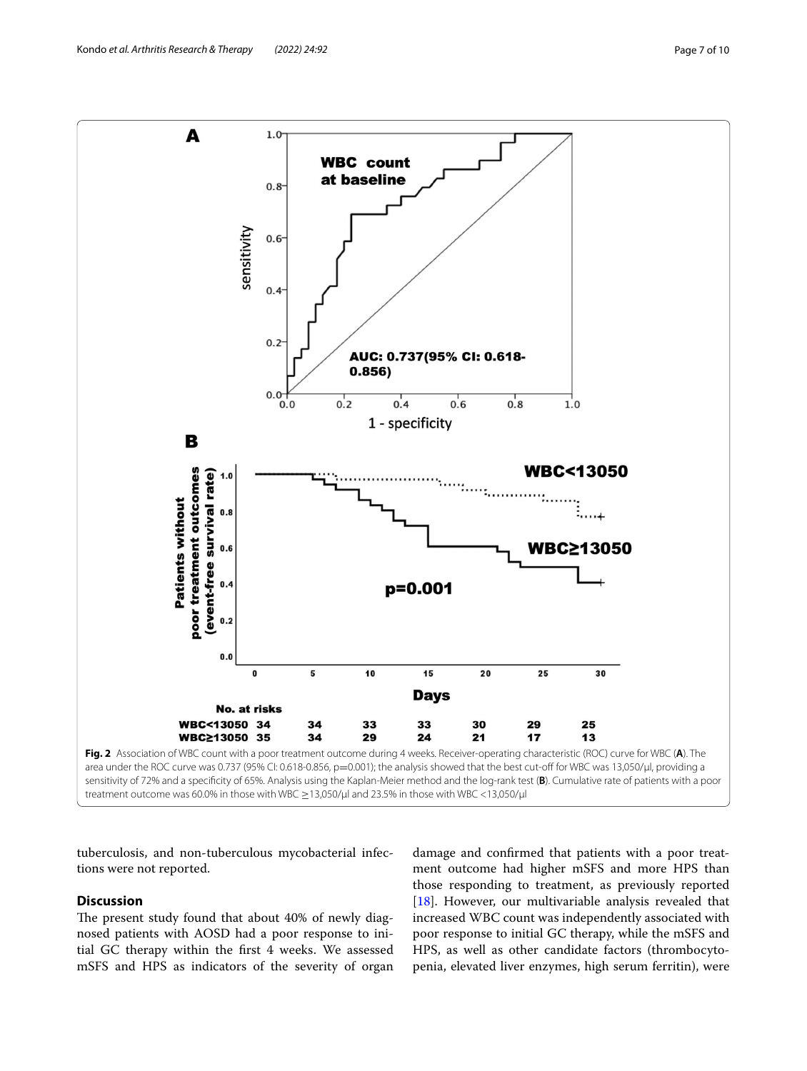

<span id="page-6-0"></span>tuberculosis, and non-tuberculous mycobacterial infections were not reported.

# **Discussion**

The present study found that about 40% of newly diagnosed patients with AOSD had a poor response to initial GC therapy within the frst 4 weeks. We assessed mSFS and HPS as indicators of the severity of organ damage and confrmed that patients with a poor treatment outcome had higher mSFS and more HPS than those responding to treatment, as previously reported [[18\]](#page-9-3). However, our multivariable analysis revealed that increased WBC count was independently associated with poor response to initial GC therapy, while the mSFS and HPS, as well as other candidate factors (thrombocytopenia, elevated liver enzymes, high serum ferritin), were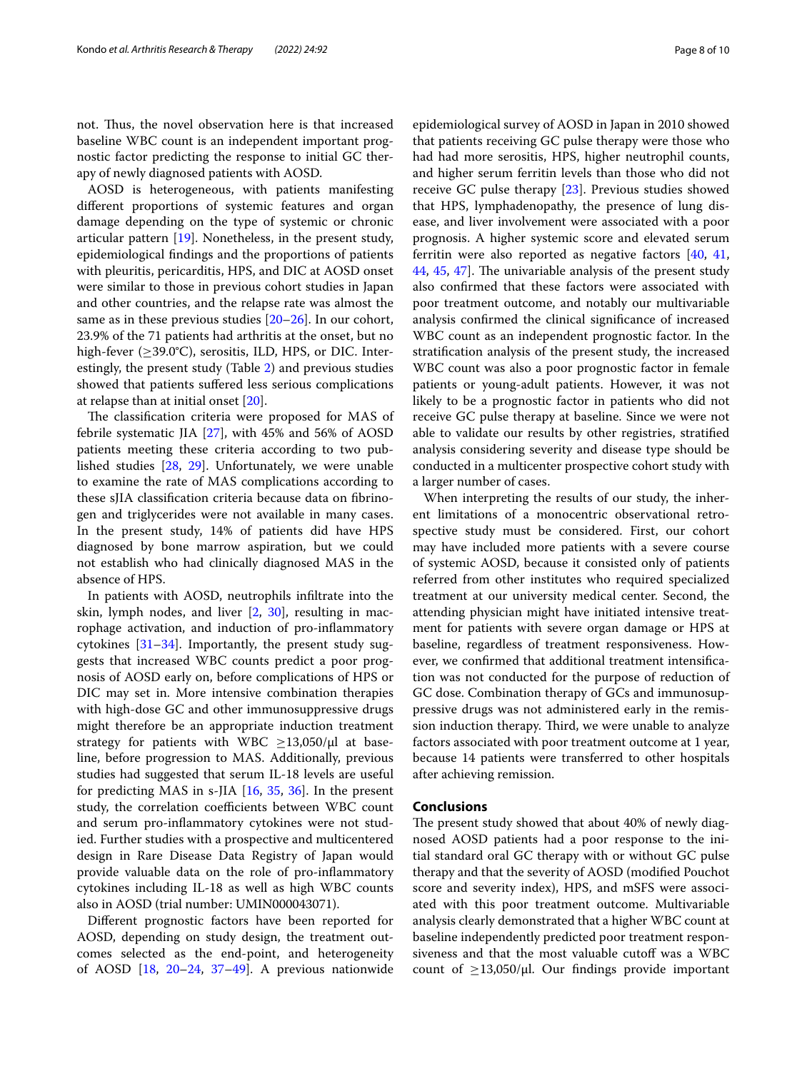not. Thus, the novel observation here is that increased baseline WBC count is an independent important prognostic factor predicting the response to initial GC therapy of newly diagnosed patients with AOSD.

AOSD is heterogeneous, with patients manifesting diferent proportions of systemic features and organ damage depending on the type of systemic or chronic articular pattern [\[19\]](#page-9-4). Nonetheless, in the present study, epidemiological fndings and the proportions of patients with pleuritis, pericarditis, HPS, and DIC at AOSD onset were similar to those in previous cohort studies in Japan and other countries, and the relapse rate was almost the same as in these previous studies [[20–](#page-9-5)[26](#page-9-6)]. In our cohort, 23.9% of the 71 patients had arthritis at the onset, but no high-fever  $(\geq 39.0^{\circ}C)$ , serositis, ILD, HPS, or DIC. Interestingly, the present study (Table [2\)](#page-4-1) and previous studies showed that patients sufered less serious complications at relapse than at initial onset [\[20\]](#page-9-5).

The classification criteria were proposed for MAS of febrile systematic JIA [[27](#page-9-7)], with 45% and 56% of AOSD patients meeting these criteria according to two published studies [\[28](#page-9-8), [29\]](#page-9-9). Unfortunately, we were unable to examine the rate of MAS complications according to these sJIA classifcation criteria because data on fbrinogen and triglycerides were not available in many cases. In the present study, 14% of patients did have HPS diagnosed by bone marrow aspiration, but we could not establish who had clinically diagnosed MAS in the absence of HPS.

In patients with AOSD, neutrophils infltrate into the skin, lymph nodes, and liver [\[2](#page-8-1), [30\]](#page-9-10), resulting in macrophage activation, and induction of pro-infammatory cytokines  $[31-34]$  $[31-34]$ . Importantly, the present study suggests that increased WBC counts predict a poor prognosis of AOSD early on, before complications of HPS or DIC may set in. More intensive combination therapies with high-dose GC and other immunosuppressive drugs might therefore be an appropriate induction treatment strategy for patients with WBC  $\geq$ 13,050/ $\mu$ l at baseline, before progression to MAS. Additionally, previous studies had suggested that serum IL-18 levels are useful for predicting MAS in s-JIA [[16,](#page-9-1) [35](#page-9-13), [36\]](#page-9-14). In the present study, the correlation coefficients between WBC count and serum pro-infammatory cytokines were not studied. Further studies with a prospective and multicentered design in Rare Disease Data Registry of Japan would provide valuable data on the role of pro-infammatory cytokines including IL-18 as well as high WBC counts also in AOSD (trial number: UMIN000043071).

Diferent prognostic factors have been reported for AOSD, depending on study design, the treatment outcomes selected as the end-point, and heterogeneity of AOSD [\[18](#page-9-3), [20](#page-9-5)[–24](#page-9-15), [37–](#page-9-16)[49](#page-9-17)]. A previous nationwide epidemiological survey of AOSD in Japan in 2010 showed that patients receiving GC pulse therapy were those who had had more serositis, HPS, higher neutrophil counts, and higher serum ferritin levels than those who did not receive GC pulse therapy [[23](#page-9-18)]. Previous studies showed that HPS, lymphadenopathy, the presence of lung disease, and liver involvement were associated with a poor prognosis. A higher systemic score and elevated serum ferritin were also reported as negative factors [[40,](#page-9-19) [41](#page-9-20), [44,](#page-9-21) [45,](#page-9-22) [47\]](#page-9-23). The univariable analysis of the present study also confrmed that these factors were associated with poor treatment outcome, and notably our multivariable analysis confrmed the clinical signifcance of increased WBC count as an independent prognostic factor. In the stratifcation analysis of the present study, the increased WBC count was also a poor prognostic factor in female patients or young-adult patients. However, it was not likely to be a prognostic factor in patients who did not receive GC pulse therapy at baseline. Since we were not able to validate our results by other registries, stratifed analysis considering severity and disease type should be conducted in a multicenter prospective cohort study with a larger number of cases.

When interpreting the results of our study, the inherent limitations of a monocentric observational retrospective study must be considered. First, our cohort may have included more patients with a severe course of systemic AOSD, because it consisted only of patients referred from other institutes who required specialized treatment at our university medical center. Second, the attending physician might have initiated intensive treatment for patients with severe organ damage or HPS at baseline, regardless of treatment responsiveness. However, we confrmed that additional treatment intensifcation was not conducted for the purpose of reduction of GC dose. Combination therapy of GCs and immunosuppressive drugs was not administered early in the remission induction therapy. Third, we were unable to analyze factors associated with poor treatment outcome at 1 year, because 14 patients were transferred to other hospitals after achieving remission.

#### **Conclusions**

The present study showed that about 40% of newly diagnosed AOSD patients had a poor response to the initial standard oral GC therapy with or without GC pulse therapy and that the severity of AOSD (modifed Pouchot score and severity index), HPS, and mSFS were associated with this poor treatment outcome. Multivariable analysis clearly demonstrated that a higher WBC count at baseline independently predicted poor treatment responsiveness and that the most valuable cutoff was a WBC count of  $\geq$ 13,050/μl. Our findings provide important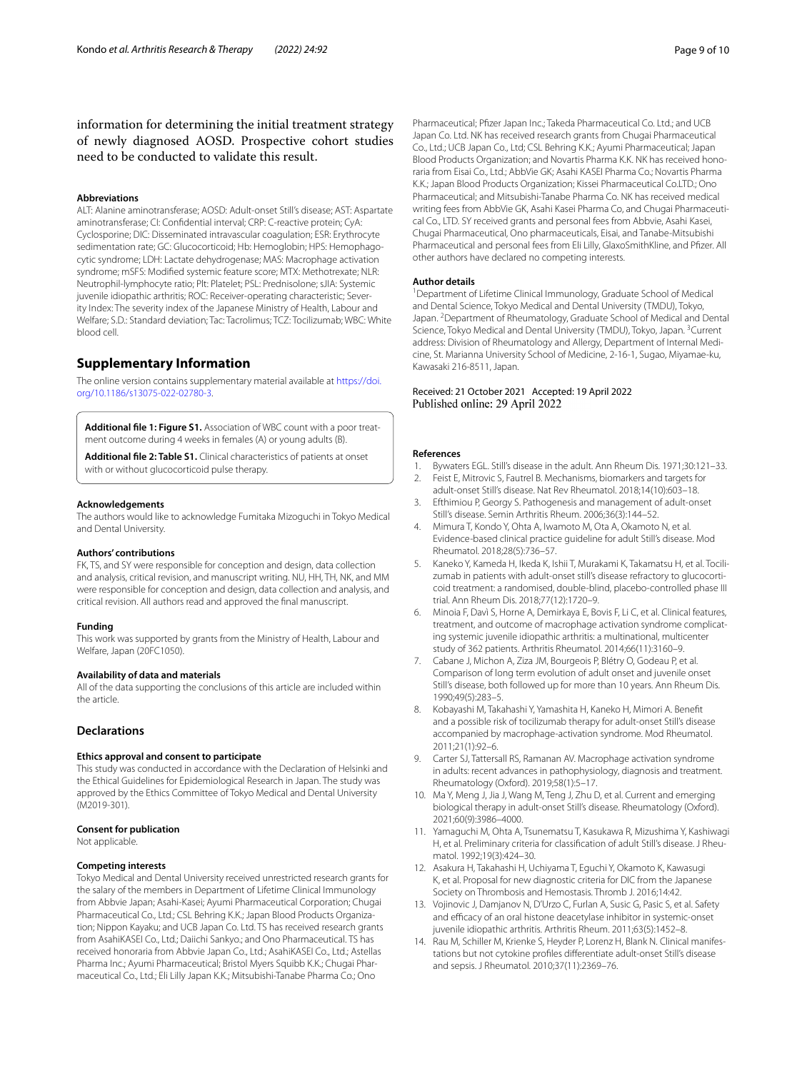information for determining the initial treatment strategy of newly diagnosed AOSD. Prospective cohort studies need to be conducted to validate this result.

#### **Abbreviations**

ALT: Alanine aminotransferase; AOSD: Adult-onset Still's disease; AST: Aspartate aminotransferase; CI: Confdential interval; CRP: C-reactive protein; CyA: Cyclosporine; DIC: Disseminated intravascular coagulation; ESR: Erythrocyte sedimentation rate; GC: Glucocorticoid; Hb: Hemoglobin; HPS: Hemophagocytic syndrome; LDH: Lactate dehydrogenase; MAS: Macrophage activation syndrome; mSFS: Modifed systemic feature score; MTX: Methotrexate; NLR: Neutrophil-lymphocyte ratio; Plt: Platelet; PSL: Prednisolone; sJIA: Systemic juvenile idiopathic arthritis; ROC: Receiver-operating characteristic; Severity Index: The severity index of the Japanese Ministry of Health, Labour and Welfare; S.D.: Standard deviation; Tac: Tacrolimus; TCZ: Tocilizumab; WBC: White blood cell.

# **Supplementary Information**

The online version contains supplementary material available at [https://doi.](https://doi.org/10.1186/s13075-022-02780-3) [org/10.1186/s13075-022-02780-3](https://doi.org/10.1186/s13075-022-02780-3).

<span id="page-8-14"></span><span id="page-8-13"></span>**Additional fle 1: Figure S1.** Association of WBC count with a poor treatment outcome during 4 weeks in females (A) or young adults (B).

**Additional fle 2: Table S1.** Clinical characteristics of patients at onset with or without glucocorticoid pulse therapy.

#### **Acknowledgements**

The authors would like to acknowledge Fumitaka Mizoguchi in Tokyo Medical and Dental University.

#### **Authors' contributions**

FK, TS, and SY were responsible for conception and design, data collection and analysis, critical revision, and manuscript writing. NU, HH, TH, NK, and MM were responsible for conception and design, data collection and analysis, and critical revision. All authors read and approved the fnal manuscript.

#### **Funding**

This work was supported by grants from the Ministry of Health, Labour and Welfare, Japan (20FC1050).

#### **Availability of data and materials**

All of the data supporting the conclusions of this article are included within the article.

#### **Declarations**

#### **Ethics approval and consent to participate**

This study was conducted in accordance with the Declaration of Helsinki and the Ethical Guidelines for Epidemiological Research in Japan. The study was approved by the Ethics Committee of Tokyo Medical and Dental University (M2019-301).

#### **Consent for publication**

Not applicable.

#### **Competing interests**

Tokyo Medical and Dental University received unrestricted research grants for the salary of the members in Department of Lifetime Clinical Immunology from Abbvie Japan; Asahi-Kasei; Ayumi Pharmaceutical Corporation; Chugai Pharmaceutical Co., Ltd.; CSL Behring K.K.; Japan Blood Products Organization; Nippon Kayaku; and UCB Japan Co. Ltd. TS has received research grants from AsahiKASEI Co., Ltd.; Daiichi Sankyo.; and Ono Pharmaceutical. TS has received honoraria from Abbvie Japan Co., Ltd.; AsahiKASEI Co., Ltd.; Astellas Pharma Inc.; Ayumi Pharmaceutical; Bristol Myers Squibb K.K.; Chugai Pharmaceutical Co., Ltd.; Eli Lilly Japan K.K.; Mitsubishi-Tanabe Pharma Co.; Ono

Pharmaceutical; Pfizer Japan Inc.; Takeda Pharmaceutical Co. Ltd.; and UCB Japan Co. Ltd. NK has received research grants from Chugai Pharmaceutical Co., Ltd.; UCB Japan Co., Ltd; CSL Behring K.K.; Ayumi Pharmaceutical; Japan Blood Products Organization; and Novartis Pharma K.K. NK has received honoraria from Eisai Co., Ltd.; AbbVie GK; Asahi KASEI Pharma Co.; Novartis Pharma K.K.; Japan Blood Products Organization; Kissei Pharmaceutical Co.LTD.; Ono Pharmaceutical; and Mitsubishi-Tanabe Pharma Co. NK has received medical writing fees from AbbVie GK, Asahi Kasei Pharma Co, and Chugai Pharmaceutical Co., LTD. SY received grants and personal fees from Abbvie, Asahi Kasei, Chugai Pharmaceutical, Ono pharmaceuticals, Eisai, and Tanabe-Mitsubishi Pharmaceutical and personal fees from Eli Lilly, GlaxoSmithKline, and Pfizer. All other authors have declared no competing interests.

#### **Author details**

<sup>1</sup> Department of Lifetime Clinical Immunology, Graduate School of Medical and Dental Science, Tokyo Medical and Dental University (TMDU), Tokyo, Japan. <sup>2</sup> Department of Rheumatology, Graduate School of Medical and Dental Science, Tokyo Medical and Dental University (TMDU), Tokyo, Japan. <sup>3</sup>Current address: Division of Rheumatology and Allergy, Department of Internal Medicine, St. Marianna University School of Medicine, 2-16-1, Sugao, Miyamae-ku, Kawasaki 216-8511, Japan.

# Received: 21 October 2021 Accepted: 19 April 2022

#### **References**

- <span id="page-8-0"></span>1. Bywaters EGL. Still's disease in the adult. Ann Rheum Dis. 1971;30:121–33.<br>2. Feist E. Mitrovic S. Fautrel B. Mechanisms, biomarkers and targets for Feist E, Mitrovic S, Fautrel B. Mechanisms, biomarkers and targets for
- <span id="page-8-1"></span>adult-onset Still's disease. Nat Rev Rheumatol. 2018;14(10):603–18.
- <span id="page-8-2"></span>3. Efthimiou P, Georgy S. Pathogenesis and management of adult-onset Still's disease. Semin Arthritis Rheum. 2006;36(3):144–52.
- <span id="page-8-3"></span>4. Mimura T, Kondo Y, Ohta A, Iwamoto M, Ota A, Okamoto N, et al. Evidence-based clinical practice guideline for adult Still's disease. Mod Rheumatol. 2018;28(5):736–57.
- <span id="page-8-4"></span>Kaneko Y, Kameda H, Ikeda K, Ishii T, Murakami K, Takamatsu H, et al. Tocilizumab in patients with adult-onset still's disease refractory to glucocorticoid treatment: a randomised, double-blind, placebo-controlled phase III trial. Ann Rheum Dis. 2018;77(12):1720–9.
- <span id="page-8-5"></span>6. Minoia F, Davì S, Horne A, Demirkaya E, Bovis F, Li C, et al. Clinical features, treatment, and outcome of macrophage activation syndrome complicating systemic juvenile idiopathic arthritis: a multinational, multicenter study of 362 patients. Arthritis Rheumatol. 2014;66(11):3160–9.
- <span id="page-8-6"></span>7. Cabane J, Michon A, Ziza JM, Bourgeois P, Blétry O, Godeau P, et al. Comparison of long term evolution of adult onset and juvenile onset Still's disease, both followed up for more than 10 years. Ann Rheum Dis. 1990;49(5):283–5.
- <span id="page-8-7"></span>8. Kobayashi M, Takahashi Y, Yamashita H, Kaneko H, Mimori A. Beneft and a possible risk of tocilizumab therapy for adult-onset Still's disease accompanied by macrophage-activation syndrome. Mod Rheumatol. 2011;21(1):92–6.
- 9. Carter SJ, Tattersall RS, Ramanan AV. Macrophage activation syndrome in adults: recent advances in pathophysiology, diagnosis and treatment. Rheumatology (Oxford). 2019;58(1):5–17.
- <span id="page-8-8"></span>10. Ma Y, Meng J, Jia J, Wang M, Teng J, Zhu D, et al. Current and emerging biological therapy in adult-onset Still's disease. Rheumatology (Oxford). 2021;60(9):3986–4000.
- <span id="page-8-9"></span>11. Yamaguchi M, Ohta A, Tsunematsu T, Kasukawa R, Mizushima Y, Kashiwagi H, et al. Preliminary criteria for classifcation of adult Still's disease. J Rheumatol. 1992;19(3):424–30.
- <span id="page-8-10"></span>12. Asakura H, Takahashi H, Uchiyama T, Eguchi Y, Okamoto K, Kawasugi K, et al. Proposal for new diagnostic criteria for DIC from the Japanese Society on Thrombosis and Hemostasis. Thromb J. 2016;14:42.
- <span id="page-8-11"></span>13. Vojinovic J, Damjanov N, D'Urzo C, Furlan A, Susic G, Pasic S, et al. Safety and efficacy of an oral histone deacetylase inhibitor in systemic-onset juvenile idiopathic arthritis. Arthritis Rheum. 2011;63(5):1452–8.
- <span id="page-8-12"></span>14. Rau M, Schiller M, Krienke S, Heyder P, Lorenz H, Blank N. Clinical manifestations but not cytokine profles diferentiate adult-onset Still's disease and sepsis. J Rheumatol. 2010;37(11):2369–76.